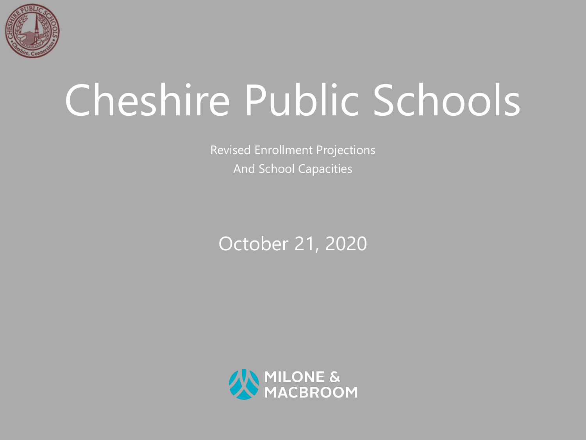

# Cheshire Public Schools

Revised Enrollment Projections And School Capacities

#### October 21, 2020

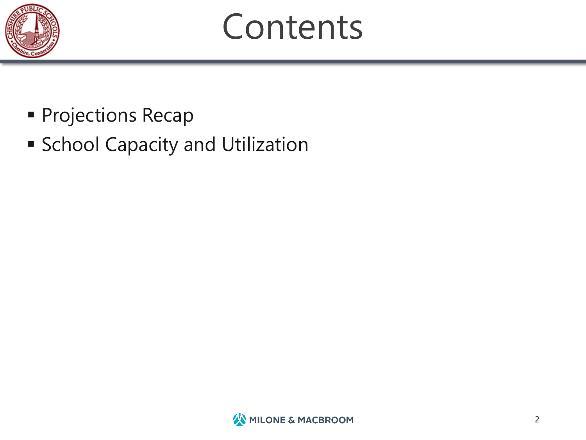

# **Contents**

- § Projections Recap
- **School Capacity and Utilization**

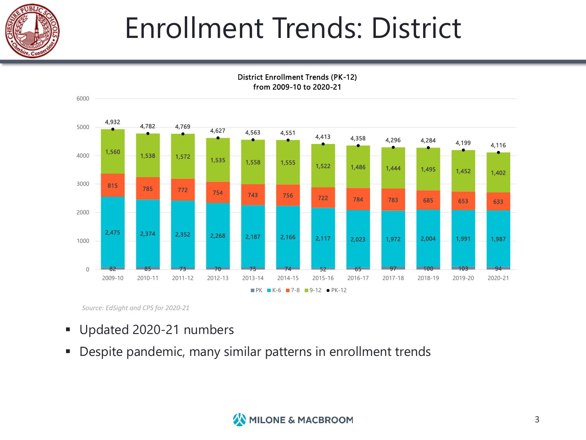

#### Enrollment Trends: District



District Enrollment Trends (PK-12) from 2009-10 to 2020-21

*Source: EdSight and CPS for 2020-21*

- § Updated 2020-21 numbers
- § Despite pandemic, many similar patterns in enrollment trends

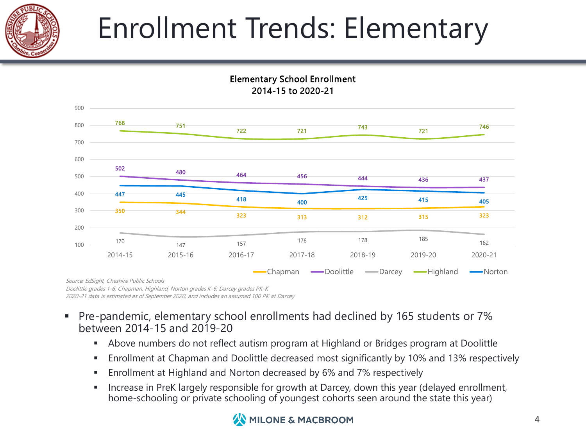

### Enrollment Trends: Elementary

Elementary School Enrollment



2014-15 to 2020-21

Doolittle grades 1-6; Chapman, Highland, Norton grades K-6; Darcey grades PK-K 2020-21 data is estimated as of September 2020, and includes an assumed 100 PK at Darcey

- § Pre-pandemic, elementary school enrollments had declined by 165 students or 7% between 2014-15 and 2019-20
	- Above numbers do not reflect autism program at Highland or Bridges program at Doolittle
	- Enrollment at Chapman and Doolittle decreased most significantly by 10% and 13% respectively
	- § Enrollment at Highland and Norton decreased by 6% and 7% respectively
	- **■** Increase in PreK largely responsible for growth at Darcey, down this year (delayed enrollment, home-schooling or private schooling of youngest cohorts seen around the state this year)

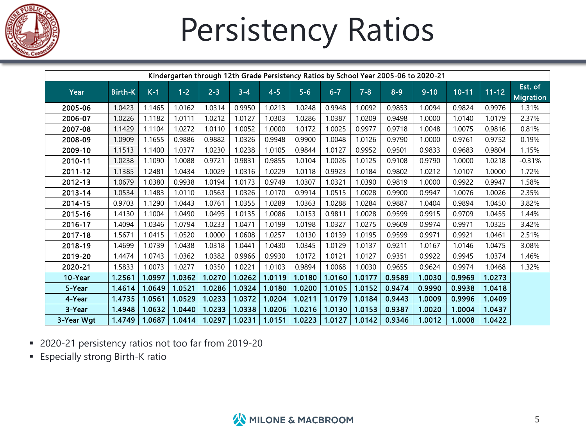

# Persistency Ratios

|            | Kindergarten through 12th Grade Persistency Ratios by School Year 2005-06 to 2020-21 |        |         |         |         |         |        |         |         |         |          |           |           |                             |
|------------|--------------------------------------------------------------------------------------|--------|---------|---------|---------|---------|--------|---------|---------|---------|----------|-----------|-----------|-----------------------------|
| Year       | <b>Birth-K</b>                                                                       | $K-1$  | $1 - 2$ | $2 - 3$ | $3 - 4$ | $4 - 5$ | $5-6$  | $6 - 7$ | $7 - 8$ | $8 - 9$ | $9 - 10$ | $10 - 11$ | $11 - 12$ | Est. of<br><b>Migration</b> |
| 2005-06    | 1.0423                                                                               | 1.1465 | 1.0162  | 1.0314  | 0.9950  | 1.0213  | 1.0248 | 0.9948  | 1.0092  | 0.9853  | 1.0094   | 0.9824    | 0.9976    | 1.31%                       |
| 2006-07    | 1.0226                                                                               | 1.1182 | 1.0111  | 1.0212  | 1.0127  | 1.0303  | 1.0286 | 1.0387  | 1.0209  | 0.9498  | 1.0000   | 1.0140    | 1.0179    | 2.37%                       |
| 2007-08    | 1.1429                                                                               | 1.1104 | 1.0272  | 1.0110  | 1.0052  | 1.0000  | 1.0172 | 1.0025  | 0.9977  | 0.9718  | 1.0048   | 1.0075    | 0.9816    | 0.81%                       |
| 2008-09    | 1.0909                                                                               | 1.1655 | 0.9886  | 0.9882  | 1.0326  | 0.9948  | 0.9900 | 1.0048  | 1.0126  | 0.9790  | 1.0000   | 0.9761    | 0.9752    | 0.19%                       |
| 2009-10    | 1.1513                                                                               | 1.1400 | 1.0377  | 1.0230  | 1.0238  | 1.0105  | 0.9844 | 1.0127  | 0.9952  | 0.9501  | 0.9833   | 0.9683    | 0.9804    | 1.15%                       |
| 2010-11    | 1.0238                                                                               | 1.1090 | 1.0088  | 0.9721  | 0.9831  | 0.9855  | 1.0104 | 1.0026  | 1.0125  | 0.9108  | 0.9790   | 1.0000    | 1.0218    | $-0.31%$                    |
| 2011-12    | 1.1385                                                                               | 1.2481 | 1.0434  | 1.0029  | 1.0316  | 1.0229  | 1.0118 | 0.9923  | 1.0184  | 0.9802  | 1.0212   | 1.0107    | 1.0000    | 1.72%                       |
| 2012-13    | 1.0679                                                                               | 1.0380 | 0.9938  | 1.0194  | 1.0173  | 0.9749  | 1.0307 | 1.0321  | 1.0390  | 0.9819  | 1.0000   | 0.9922    | 0.9947    | 1.58%                       |
| 2013-14    | 1.0534                                                                               | 1.1483 | 1.0110  | 1.0563  | 1.0326  | 1.0170  | 0.9914 | 1.0515  | 1.0028  | 0.9900  | 0.9947   | 1.0076    | 1.0026    | 2.35%                       |
| 2014-15    | 0.9703                                                                               | 1.1290 | 1.0443  | 1.0761  | 1.0355  | 1.0289  | 1.0363 | 1.0288  | 1.0284  | 0.9887  | 1.0404   | 0.9894    | 1.0450    | 3.82%                       |
| 2015-16    | 1.4130                                                                               | 1.1004 | 1.0490  | 1.0495  | 1.0135  | 1.0086  | 1.0153 | 0.9811  | 1.0028  | 0.9599  | 0.9915   | 0.9709    | 1.0455    | 1.44%                       |
| 2016-17    | 1.4094                                                                               | 1.0346 | 1.0794  | 1.0233  | 1.0471  | 1.0199  | 1.0198 | 1.0327  | 1.0275  | 0.9609  | 0.9974   | 0.9971    | 1.0325    | 3.42%                       |
| 2017-18    | 1.5671                                                                               | 1.0415 | 1.0520  | 1.0000  | 1.0608  | 1.0257  | 1.0130 | 1.0139  | 1.0195  | 0.9599  | 0.9971   | 0.9921    | 1.0461    | 2.51%                       |
| 2018-19    | 1.4699                                                                               | 1.0739 | 1.0438  | 1.0318  | 1.0441  | 1.0430  | 1.0345 | 1.0129  | 1.0137  | 0.9211  | 1.0167   | 1.0146    | 1.0475    | 3.08%                       |
| 2019-20    | 1.4474                                                                               | 1.0743 | 1.0362  | 1.0382  | 0.9966  | 0.9930  | 1.0172 | 1.0121  | 1.0127  | 0.9351  | 0.9922   | 0.9945    | 1.0374    | 1.46%                       |
| 2020-21    | 1.5833                                                                               | 1.0073 | 1.0277  | 1.0350  | 1.0221  | 1.0103  | 0.9894 | 1.0068  | 1.0030  | 0.9655  | 0.9624   | 0.9974    | 1.0468    | 1.32%                       |
| 10-Year    | 1.2561                                                                               | 1.0997 | 1.0362  | 1.0270  | 1.0262  | 1.0119  | 1.0180 | 1.0160  | 1.0177  | 0.9589  | 1.0030   | 0.9969    | 1.0273    |                             |
| 5-Year     | 1.4614                                                                               | 1.0649 | 1.0521  | 1.0286  | 1.0324  | 1.0180  | 1.0200 | 1.0105  | 1.0152  | 0.9474  | 0.9990   | 0.9938    | 1.0418    |                             |
| 4-Year     | 1.4735                                                                               | 1.0561 | 1.0529  | 1.0233  | 1.0372  | 1.0204  | 1.0211 | 1.0179  | 1.0184  | 0.9443  | 1.0009   | 0.9996    | 1.0409    |                             |
| 3-Year     | 1.4948                                                                               | 1.0632 | 1.0440  | 1.0233  | 1.0338  | 1.0206  | 1.0216 | 1.0130  | 1.0153  | 0.9387  | 1.0020   | 1.0004    | 1.0437    |                             |
| 3-Year Wgt | 1.4749                                                                               | 1.0687 | 1.0414  | 1.0297  | 1.0231  | 1.0151  | 1.0223 | 1.0127  | 1.0142  | 0.9346  | 1.0012   | 1.0008    | 1.0422    |                             |

- 2020-21 persistency ratios not too far from 2019-20
- § Especially strong Birth-K ratio

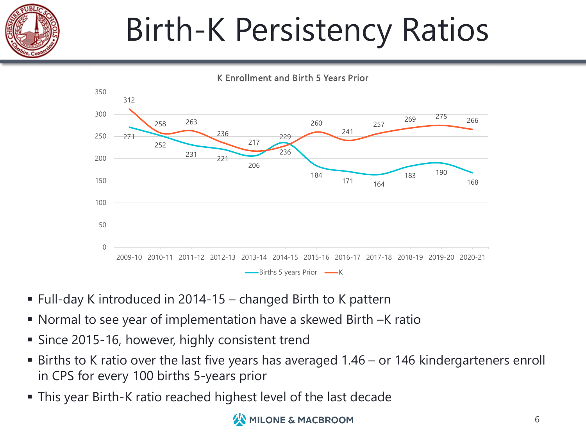

# Birth-K Persistency Ratios



- Full-day K introduced in 2014-15 changed Birth to K pattern
- § Normal to see year of implementation have a skewed Birth –K ratio
- Since 2015-16, however, highly consistent trend
- Births to K ratio over the last five years has averaged 1.46 or 146 kindergarteners enroll in CPS for every 100 births 5-years prior
- § This year Birth-K ratio reached highest level of the last decade

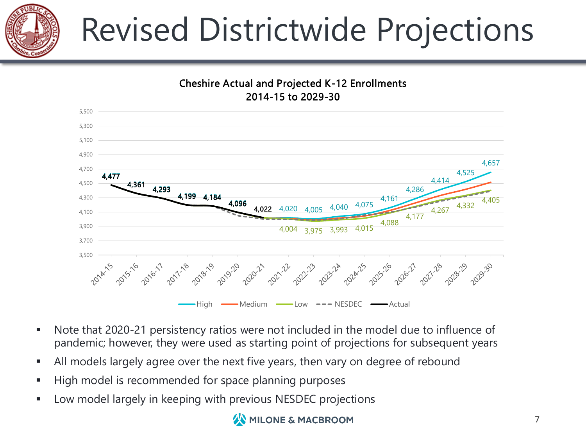

# Revised Districtwide Projections



- Note that 2020-21 persistency ratios were not included in the model due to influence of pandemic; however, they were used as starting point of projections for subsequent years
- **All models largely agree over the next five years, then vary on degree of rebound**
- High model is recommended for space planning purposes
- Low model largely in keeping with previous NESDEC projections

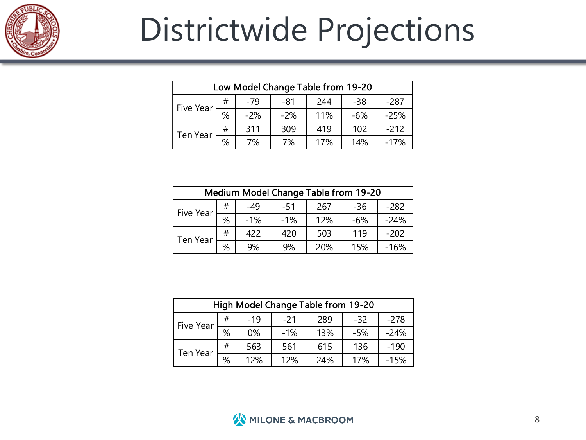

## Districtwide Projections

|           | Low Model Change Table from 19-20 |       |       |     |       |        |  |  |  |
|-----------|-----------------------------------|-------|-------|-----|-------|--------|--|--|--|
| Five Year | #                                 | $-79$ | -81   | 244 | $-38$ | $-287$ |  |  |  |
|           | %                                 | $-2%$ | $-2%$ | 11% | -6%   | $-25%$ |  |  |  |
| Ten Year  | #                                 | 311   | 309   | 419 | 102   | $-212$ |  |  |  |
|           | %                                 | 7%    | 7%    | 17% | 14%   | -17%   |  |  |  |

| Medium Model Change Table from 19-20 |   |       |        |     |       |        |  |
|--------------------------------------|---|-------|--------|-----|-------|--------|--|
| Five Year                            | # | -49   | -51    | 267 | $-36$ | -282   |  |
|                                      | % | $-1%$ | $-1\%$ | 12% | -6%   | $-24%$ |  |
| Ten Year                             | # | 422   | 420    | 503 | 119   | $-202$ |  |
|                                      | % | 9%    | 9%     | 20% | 15%   | $-16%$ |  |

|            | High Model Change Table from 19-20 |       |       |     |       |        |  |  |
|------------|------------------------------------|-------|-------|-----|-------|--------|--|--|
| Five Year! | #                                  | $-19$ | $-21$ | 289 | $-32$ | -278   |  |  |
|            | %                                  | 0%    | $-1%$ | 13% | $-5%$ | $-24%$ |  |  |
| Ten Year   | #                                  | 563   | 561   | 615 | 136   | $-190$ |  |  |
|            | %                                  | 12%   | 12%   | 24% | 17%   | $-15%$ |  |  |

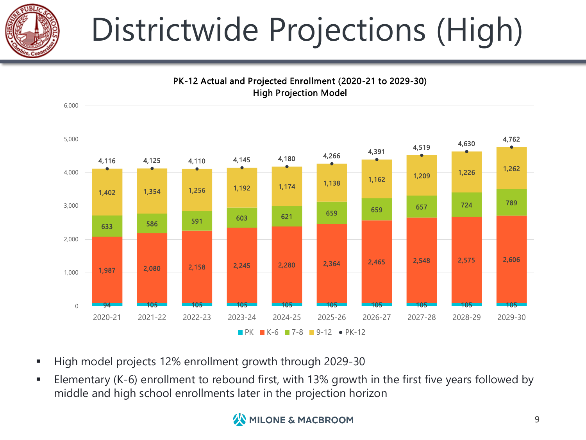

# Districtwide Projections (High)



PK-12 Actual and Projected Enrollment (2020-21 to 2029-30)

- High model projects 12% enrollment growth through 2029-30
- Elementary (K-6) enrollment to rebound first, with 13% growth in the first five years followed by middle and high school enrollments later in the projection horizon

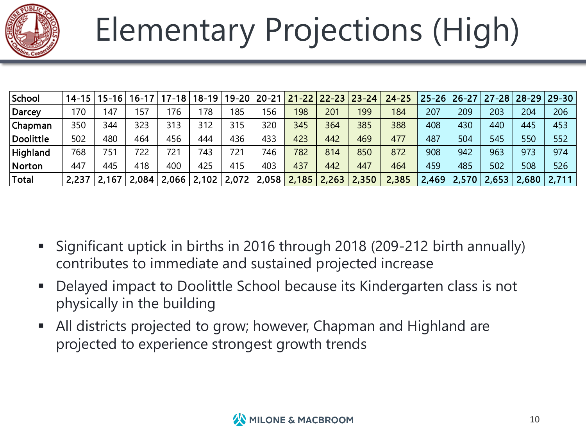

# Elementary Projections (High)

| School       | 14-15 | $15 - 161$ | $16 - 17$ | $17-18'$ | $18-19$ | 19-20 | $20 - 21$ | $21 - 22$ |       | $22 - 23   23 - 24  $ | $24 - 25$ |       | $ 25 - 26 26 - 27 $ |       | $ 27 - 28 28 - 29 $ | $29 - 30$ |
|--------------|-------|------------|-----------|----------|---------|-------|-----------|-----------|-------|-----------------------|-----------|-------|---------------------|-------|---------------------|-----------|
| Darcey       | 170   | 147        | 157       | 176      | 78      | 185   | 156       | 198       | 201   | 199                   | 184       | 207   | 209                 | 203   | 204                 | 206       |
| Chapman      | 350   | 344        | 323       | 313      | 312     | 315   | 320       | 345       | 364   | 385                   | 388       | 408   | 430                 | 440   | 445                 | 453       |
| Doolittle    | 502   | 480        | 464       | 456      | 444     | 436   | 433       | 423       | 442   | 469                   | 477       | 487   | 504                 | 545   | 550                 | 552       |
| Highland     | 768   | 751        | 722       | 721      | 743     | 721   | 746       | 782       | 814   | 850                   | 872       | 908   | 942                 | 963   | 973                 | 974       |
| Norton       | 447   | 445        | 418       | 400      | 425     | 415   | 403       | 437       | 442   | 447                   | 464       | 459   | 485                 | 502   | 508                 | 526       |
| <b>Total</b> | 2,237 | 167        | 2,084     | 2,066    | 2,102   | 2,072 | 2,058     | 2,185     | 2,263 | 2,350                 | 2,385     | 2,469 | 2,570               | 2,653 | 2,680               | 2,711     |

- § Significant uptick in births in 2016 through 2018 (209-212 birth annually) contributes to immediate and sustained projected increase
- § Delayed impact to Doolittle School because its Kindergarten class is not physically in the building
- All districts projected to grow; however, Chapman and Highland are projected to experience strongest growth trends

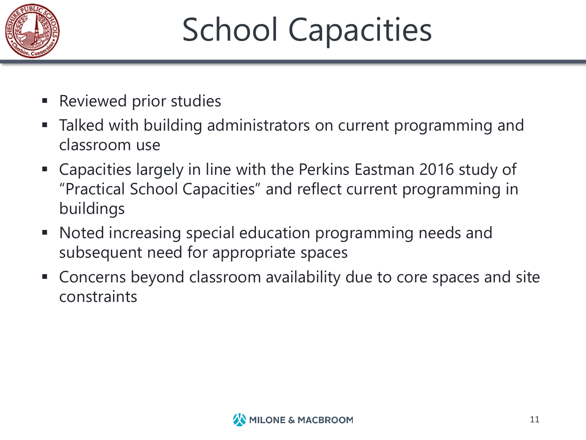

# School Capacities

- Reviewed prior studies
- Talked with building administrators on current programming and classroom use
- § Capacities largely in line with the Perkins Eastman 2016 study of "Practical School Capacities" and reflect current programming in buildings
- Noted increasing special education programming needs and subsequent need for appropriate spaces
- § Concerns beyond classroom availability due to core spaces and site constraints

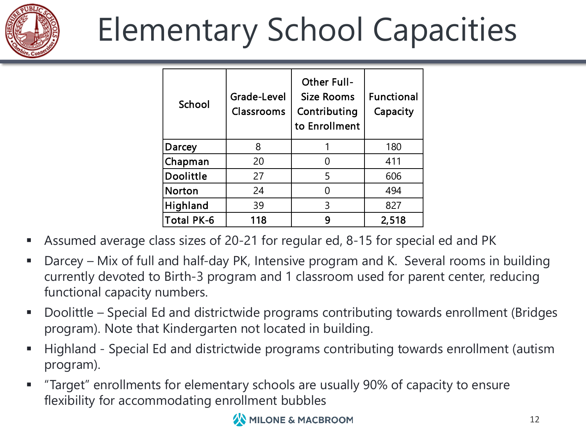

# Elementary School Capacities

| School            | Grade-Level<br>Classrooms | <b>Other Full-</b><br>Size Rooms<br>Contributing<br>to Enrollment | <b>Functional</b><br>Capacity |
|-------------------|---------------------------|-------------------------------------------------------------------|-------------------------------|
| Darcey            | 8                         |                                                                   | 180                           |
| Chapman           | 20                        |                                                                   | 411                           |
| <b>Doolittle</b>  | 27                        | 5                                                                 | 606                           |
| <b>Norton</b>     | 24                        |                                                                   | 494                           |
| <b>Highland</b>   | 39                        | 3                                                                 | 827                           |
| <b>Total PK-6</b> | 118                       | q                                                                 | 2,518                         |

- § Assumed average class sizes of 20-21 for regular ed, 8-15 for special ed and PK
- Darcey Mix of full and half-day PK, Intensive program and K. Several rooms in building currently devoted to Birth-3 program and 1 classroom used for parent center, reducing functional capacity numbers.
- Doolittle Special Ed and districtwide programs contributing towards enrollment (Bridges program). Note that Kindergarten not located in building.
- Highland Special Ed and districtwide programs contributing towards enrollment (autism program).
- § "Target" enrollments for elementary schools are usually 90% of capacity to ensure flexibility for accommodating enrollment bubbles

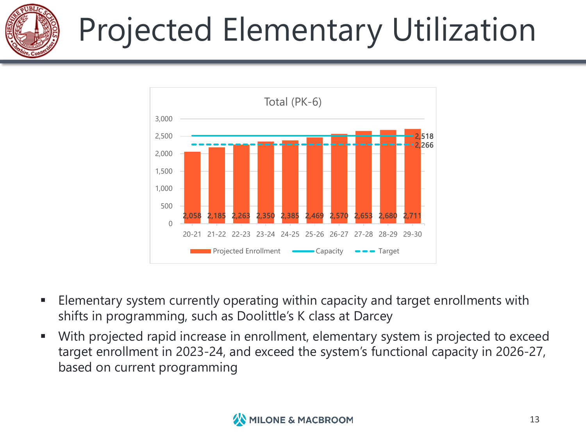

# Projected Elementary Utilization



- Elementary system currently operating within capacity and target enrollments with shifts in programming, such as Doolittle's K class at Darcey
- With projected rapid increase in enrollment, elementary system is projected to exceed target enrollment in 2023-24, and exceed the system's functional capacity in 2026-27, based on current programming

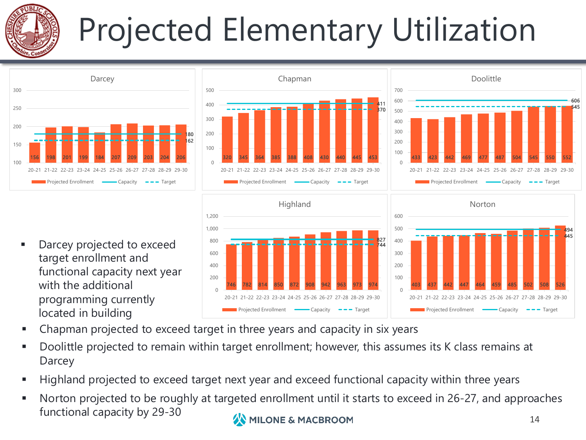

# Projected Elementary Utilization







Darcey projected to exceed target enrollment and functional capacity next year with the additional programming currently located in building



- § Chapman projected to exceed target in three years and capacity in six years
- § Doolittle projected to remain within target enrollment; however, this assumes its K class remains at **Darcey**
- Highland projected to exceed target next year and exceed functional capacity within three years
- § Norton projected to be roughly at targeted enrollment until it starts to exceed in 26-27, and approaches functional capacity by 29-30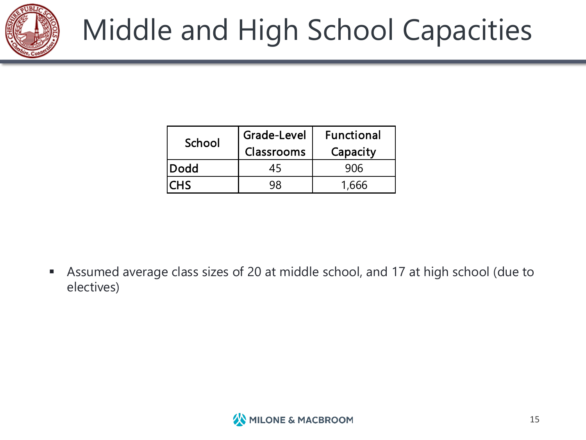

| School      | Grade-Level<br>Classrooms | <b>Functional</b><br>Capacity |
|-------------|---------------------------|-------------------------------|
| <b>Dodd</b> | 4ל                        | 906                           |
| CHS         |                           |                               |

§ Assumed average class sizes of 20 at middle school, and 17 at high school (due to electives)